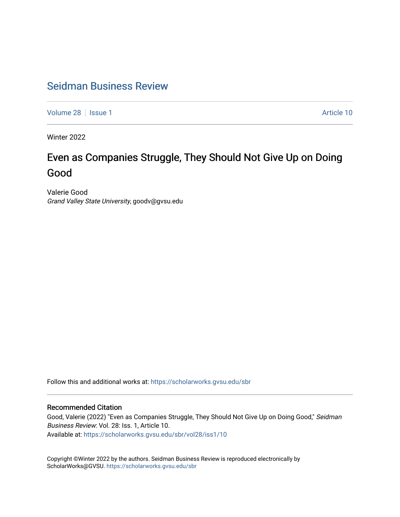## [Seidman Business Review](https://scholarworks.gvsu.edu/sbr)

[Volume 28](https://scholarworks.gvsu.edu/sbr/vol28) | [Issue 1](https://scholarworks.gvsu.edu/sbr/vol28/iss1) Article 10

Winter 2022

## Even as Companies Struggle, They Should Not Give Up on Doing Good

Valerie Good Grand Valley State University, goodv@gvsu.edu

Follow this and additional works at: [https://scholarworks.gvsu.edu/sbr](https://scholarworks.gvsu.edu/sbr?utm_source=scholarworks.gvsu.edu%2Fsbr%2Fvol28%2Fiss1%2F10&utm_medium=PDF&utm_campaign=PDFCoverPages)

### Recommended Citation

Good, Valerie (2022) "Even as Companies Struggle, They Should Not Give Up on Doing Good," Seidman Business Review: Vol. 28: Iss. 1, Article 10. Available at: [https://scholarworks.gvsu.edu/sbr/vol28/iss1/10](https://scholarworks.gvsu.edu/sbr/vol28/iss1/10?utm_source=scholarworks.gvsu.edu%2Fsbr%2Fvol28%2Fiss1%2F10&utm_medium=PDF&utm_campaign=PDFCoverPages) 

Copyright ©Winter 2022 by the authors. Seidman Business Review is reproduced electronically by ScholarWorks@GVSU.<https://scholarworks.gvsu.edu/sbr>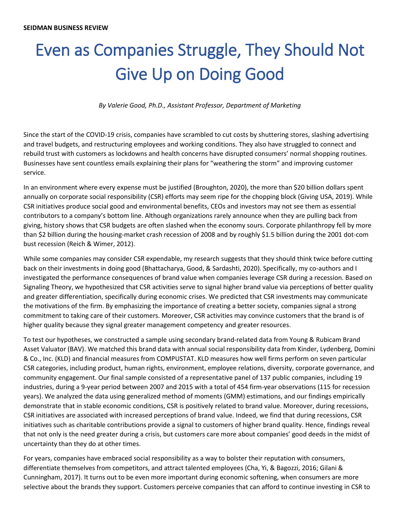# Even as Companies Struggle, They Should Not Give Up on Doing Good

*By Valerie Good, Ph.D., Assistant Professor, Department of Marketing*

Since the start of the COVID-19 crisis, companies have scrambled to cut costs by shuttering stores, slashing advertising and travel budgets, and restructuring employees and working conditions. They also have struggled to connect and rebuild trust with customers as lockdowns and health concerns have disrupted consumers' normal shopping routines. Businesses have sent countless emails explaining their plans for "weathering the storm" and improving customer service.

In an environment where every expense must be justified (Broughton, 2020), the more than \$20 billion dollars spent annually on corporate social responsibility (CSR) efforts may seem ripe for the chopping block (Giving USA, 2019). While CSR initiatives produce social good and environmental benefits, CEOs and investors may not see them as essential contributors to a company's bottom line. Although organizations rarely announce when they are pulling back from giving, history shows that CSR budgets are often slashed when the economy sours. Corporate philanthropy fell by more than \$2 billion during the housing-market crash recession of 2008 and by roughly \$1.5 billion during the 2001 dot-com bust recession (Reich & Wimer, 2012).

While some companies may consider CSR expendable, my research suggests that they should think twice before cutting back on their investments in doing good (Bhattacharya, Good, & Sardashti, 2020). Specifically, my co-authors and I investigated the performance consequences of brand value when companies leverage CSR during a recession. Based on Signaling Theory, we hypothesized that CSR activities serve to signal higher brand value via perceptions of better quality and greater differentiation, specifically during economic crises. We predicted that CSR investments may communicate the motivations of the firm. By emphasizing the importance of creating a better society, companies signal a strong commitment to taking care of their customers. Moreover, CSR activities may convince customers that the brand is of higher quality because they signal greater management competency and greater resources.

To test our hypotheses, we constructed a sample using secondary brand-related data from Young & Rubicam Brand Asset Valuator (BAV). We matched this brand data with annual social responsibility data from Kinder, Lydenberg, Domini & Co., Inc. (KLD) and financial measures from COMPUSTAT. KLD measures how well firms perform on seven particular CSR categories, including product, human rights, environment, employee relations, diversity, corporate governance, and community engagement. Our final sample consisted of a representative panel of 137 public companies, including 19 industries, during a 9-year period between 2007 and 2015 with a total of 454 firm-year observations (115 for recession years). We analyzed the data using generalized method of moments (GMM) estimations, and our findings empirically demonstrate that in stable economic conditions, CSR is positively related to brand value. Moreover, during recessions, CSR initiatives are associated with increased perceptions of brand value. Indeed, we find that during recessions, CSR initiatives such as charitable contributions provide a signal to customers of higher brand quality. Hence, findings reveal that not only is the need greater during a crisis, but customers care more about companies' good deeds in the midst of uncertainty than they do at other times.

For years, companies have embraced social responsibility as a way to bolster their reputation with consumers, differentiate themselves from competitors, and attract talented employees (Cha, Yi, & Bagozzi, 2016; Gilani & Cunningham, 2017). It turns out to be even more important during economic softening, when consumers are more selective about the brands they support. Customers perceive companies that can afford to continue investing in CSR to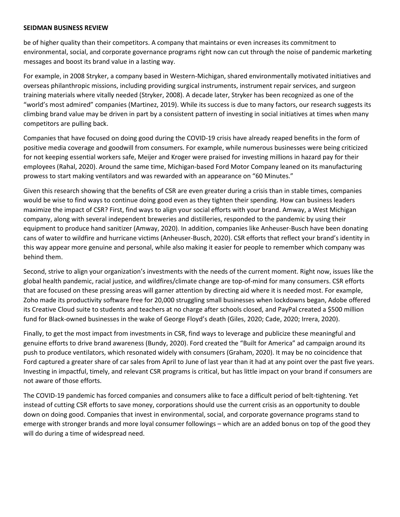#### **SEIDMAN BUSINESS REVIEW**

be of higher quality than their competitors. A company that maintains or even increases its commitment to environmental, social, and corporate governance programs right now can cut through the noise of pandemic marketing messages and boost its brand value in a lasting way.

For example, in 2008 Stryker, a company based in Western-Michigan, shared environmentally motivated initiatives and overseas philanthropic missions, including providing surgical instruments, instrument repair services, and surgeon training materials where vitally needed (Stryker, 2008). A decade later, Stryker has been recognized as one of the "world's most admired" companies (Martinez, 2019). While its success is due to many factors, our research suggests its climbing brand value may be driven in part by a consistent pattern of investing in social initiatives at times when many competitors are pulling back.

Companies that have focused on doing good during the COVID-19 crisis have already reaped benefits in the form of positive media coverage and goodwill from consumers. For example, while numerous businesses were being criticized for not keeping essential workers safe, Meijer and Kroger were praised for investing millions in hazard pay for their employees (Rahal, 2020). Around the same time, Michigan-based Ford Motor Company leaned on its manufacturing prowess to start making ventilators and was rewarded with an appearance on "60 Minutes."

Given this research showing that the benefits of CSR are even greater during a crisis than in stable times, companies would be wise to find ways to continue doing good even as they tighten their spending. How can business leaders maximize the impact of CSR? First, find ways to align your social efforts with your brand. Amway, a West Michigan company, along with several independent breweries and distilleries, responded to the pandemic by using their equipment to produce hand sanitizer (Amway, 2020). In addition, companies like Anheuser-Busch have been donating cans of water to wildfire and hurricane victims (Anheuser-Busch, 2020). CSR efforts that reflect your brand's identity in this way appear more genuine and personal, while also making it easier for people to remember which company was behind them.

Second, strive to align your organization's investments with the needs of the current moment. Right now, issues like the global health pandemic, racial justice, and wildfires/climate change are top-of-mind for many consumers. CSR efforts that are focused on these pressing areas will garner attention by directing aid where it is needed most. For example, Zoho made its productivity software free for 20,000 struggling small businesses when lockdowns began, Adobe offered its Creative Cloud suite to students and teachers at no charge after schools closed, and PayPal created a \$500 million fund for Black-owned businesses in the wake of George Floyd's death (Giles, 2020; Cade, 2020; Irrera, 2020).

Finally, to get the most impact from investments in CSR, find ways to leverage and publicize these meaningful and genuine efforts to drive brand awareness (Bundy, 2020). Ford created the "Built for America" ad campaign around its push to produce ventilators, which resonated widely with consumers (Graham, 2020). It may be no coincidence that Ford captured a greater share of car sales from April to June of last year than it had at any point over the past five years. Investing in impactful, timely, and relevant CSR programs is critical, but has little impact on your brand if consumers are not aware of those efforts.

The COVID-19 pandemic has forced companies and consumers alike to face a difficult period of belt-tightening. Yet instead of cutting CSR efforts to save money, corporations should use the current crisis as an opportunity to double down on doing good. Companies that invest in environmental, social, and corporate governance programs stand to emerge with stronger brands and more loyal consumer followings – which are an added bonus on top of the good they will do during a time of widespread need.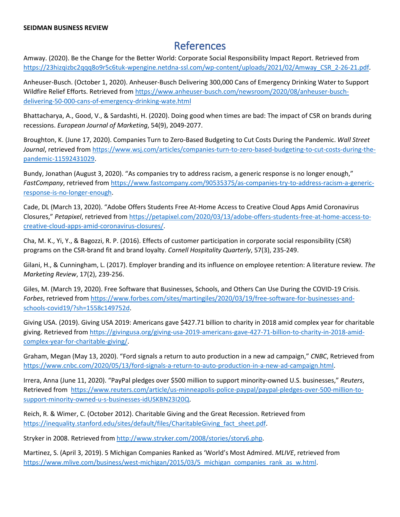## **References**

Amway. (2020). Be the Change for the Better World: Corporate Social Responsibility Impact Report. Retrieved from [https://23hizqizbc2qqq8o9r5c6tuk-wpengine.netdna-ssl.com/wp-content/uploads/2021/02/Amway\\_CSR\\_2-26-21.pdf.](https://23hizqizbc2qqq8o9r5c6tuk-wpengine.netdna-ssl.com/wp-content/uploads/2021/02/Amway_CSR_2-26-21.pdf)

Anheuser-Busch. (October 1, 2020). Anheuser-Busch Delivering 300,000 Cans of Emergency Drinking Water to Support Wildfire Relief Efforts. Retrieved from [https://www.anheuser-busch.com/newsroom/2020/08/anheuser-busch](https://www.anheuser-busch.com/newsroom/2020/08/anheuser-busch-delivering-50-000-cans-of-emergency-drinking-wate.html)[delivering-50-000-cans-of-emergency-drinking-wate.html](https://www.anheuser-busch.com/newsroom/2020/08/anheuser-busch-delivering-50-000-cans-of-emergency-drinking-wate.html)

Bhattacharya, A., Good, V., & Sardashti, H. (2020). Doing good when times are bad: The impact of CSR on brands during recessions. *European Journal of Marketing*, 54(9), 2049-2077.

Broughton, K. (June 17, 2020). Companies Turn to Zero-Based Budgeting to Cut Costs During the Pandemic. *Wall Street Journal*, retrieved fro[m https://www.wsj.com/articles/companies-turn-to-zero-based-budgeting-to-cut-costs-during-the](https://www.wsj.com/articles/companies-turn-to-zero-based-budgeting-to-cut-costs-during-the-pandemic-11592431029)[pandemic-11592431029.](https://www.wsj.com/articles/companies-turn-to-zero-based-budgeting-to-cut-costs-during-the-pandemic-11592431029)

Bundy, Jonathan (August 3, 2020). "As companies try to address racism, a generic response is no longer enough," *FastCompany*, retrieved fro[m https://www.fastcompany.com/90535375/as-companies-try-to-address-racism-a-generic](https://www.fastcompany.com/90535375/as-companies-try-to-address-racism-a-generic-response-is-no-longer-enough)[response-is-no-longer-enough.](https://www.fastcompany.com/90535375/as-companies-try-to-address-racism-a-generic-response-is-no-longer-enough)

Cade, DL (March 13, 2020). "Adobe Offers Students Free At-Home Access to Creative Cloud Apps Amid Coronavirus Closures," *Petapixel*, retrieved fro[m https://petapixel.com/2020/03/13/adobe-offers-students-free-at-home-access-to](https://petapixel.com/2020/03/13/adobe-offers-students-free-at-home-access-to-creative-cloud-apps-amid-coronavirus-closures/)[creative-cloud-apps-amid-coronavirus-closures/.](https://petapixel.com/2020/03/13/adobe-offers-students-free-at-home-access-to-creative-cloud-apps-amid-coronavirus-closures/)

Cha, M. K., Yi, Y., & Bagozzi, R. P. (2016). Effects of customer participation in corporate social responsibility (CSR) programs on the CSR-brand fit and brand loyalty. *Cornell Hospitality Quarterly*, 57(3), 235-249.

Gilani, H., & Cunningham, L. (2017). Employer branding and its influence on employee retention: A literature review*. The Marketing Review*, 17(2), 239-256.

Giles, M. (March 19, 2020). Free Software that Businesses, Schools, and Others Can Use During the COVID-19 Crisis. *Forbes*, retrieved fro[m https://www.forbes.com/sites/martingiles/2020/03/19/free-software-for-businesses-and](https://www.forbes.com/sites/martingiles/2020/03/19/free-software-for-businesses-and-schools-covid19/?sh=1558c149752d)[schools-covid19/?sh=1558c149752d.](https://www.forbes.com/sites/martingiles/2020/03/19/free-software-for-businesses-and-schools-covid19/?sh=1558c149752d)

Giving USA. (2019). Giving USA 2019: Americans gave \$427.71 billion to charity in 2018 amid complex year for charitable giving. Retrieved from [https://givingusa.org/giving-usa-2019-americans-gave-427-71-billion-to-charity-in-2018-amid](https://givingusa.org/giving-usa-2019-americans-gave-427-71-billion-to-charity-in-2018-amid-complex-year-for-charitable-giving/)[complex-year-for-charitable-giving/.](https://givingusa.org/giving-usa-2019-americans-gave-427-71-billion-to-charity-in-2018-amid-complex-year-for-charitable-giving/)

Graham, Megan (May 13, 2020). "Ford signals a return to auto production in a new ad campaign," *CNBC*, Retrieved from [https://www.cnbc.com/2020/05/13/ford-signals-a-return-to-auto-production-in-a-new-ad-campaign.html.](https://www.cnbc.com/2020/05/13/ford-signals-a-return-to-auto-production-in-a-new-ad-campaign.html)

Irrera, Anna (June 11, 2020). "PayPal pledges over \$500 million to support minority-owned U.S. businesses," *Reuters*, Retrieved from [https://www.reuters.com/article/us-minneapolis-police-paypal/paypal-pledges-over-500-million-to](https://www.reuters.com/article/us-minneapolis-police-paypal/paypal-pledges-over-500-million-to-support-minority-owned-u-s-businesses-idUSKBN23I20Q)[support-minority-owned-u-s-businesses-idUSKBN23I20Q.](https://www.reuters.com/article/us-minneapolis-police-paypal/paypal-pledges-over-500-million-to-support-minority-owned-u-s-businesses-idUSKBN23I20Q)

Reich, R. & Wimer, C. (October 2012). Charitable Giving and the Great Recession. Retrieved from [https://inequality.stanford.edu/sites/default/files/CharitableGiving\\_fact\\_sheet.pdf.](https://inequality.stanford.edu/sites/default/files/CharitableGiving_fact_sheet.pdf)

Stryker in 2008. Retrieved fro[m http://www.stryker.com/2008/stories/story6.php.](http://www.stryker.com/2008/stories/story6.php)

Martinez, S. (April 3, 2019). 5 Michigan Companies Ranked as 'World's Most Admired. *MLIVE*, retrieved from [https://www.mlive.com/business/west-michigan/2015/03/5\\_michigan\\_companies\\_rank\\_as\\_w.html.](https://www.mlive.com/business/west-michigan/2015/03/5_michigan_companies_rank_as_w.html)